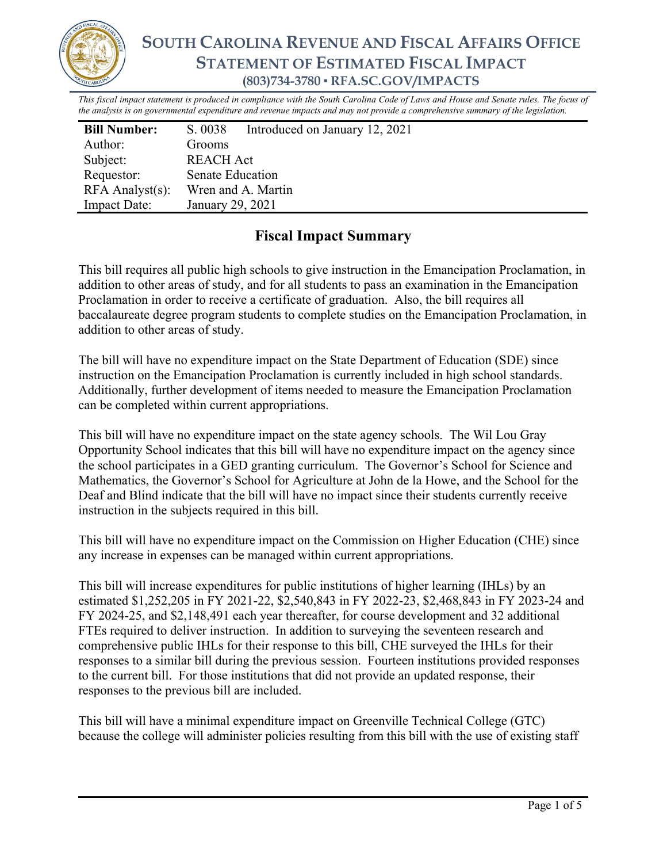

# **SOUTH CAROLINA REVENUE AND FISCAL AFFAIRS OFFICE STATEMENT OF ESTIMATED FISCAL IMPACT (803)734-3780 ▪ RFA.SC.GOV/IMPACTS**

*This fiscal impact statement is produced in compliance with the South Carolina Code of Laws and House and Senate rules. The focus of the analysis is on governmental expenditure and revenue impacts and may not provide a comprehensive summary of the legislation.*

| <b>Bill Number:</b>   | S. 0038                 | Introduced on January 12, 2021 |
|-----------------------|-------------------------|--------------------------------|
| Author:               | Grooms                  |                                |
| Subject:              | REACH Act               |                                |
| Requestor:            | <b>Senate Education</b> |                                |
| $RFA$ Analyst $(s)$ : | Wren and A. Martin      |                                |
| <b>Impact Date:</b>   | January 29, 2021        |                                |

## **Fiscal Impact Summary**

This bill requires all public high schools to give instruction in the Emancipation Proclamation, in addition to other areas of study, and for all students to pass an examination in the Emancipation Proclamation in order to receive a certificate of graduation. Also, the bill requires all baccalaureate degree program students to complete studies on the Emancipation Proclamation, in addition to other areas of study.

The bill will have no expenditure impact on the State Department of Education (SDE) since instruction on the Emancipation Proclamation is currently included in high school standards. Additionally, further development of items needed to measure the Emancipation Proclamation can be completed within current appropriations.

This bill will have no expenditure impact on the state agency schools. The Wil Lou Gray Opportunity School indicates that this bill will have no expenditure impact on the agency since the school participates in a GED granting curriculum. The Governor's School for Science and Mathematics, the Governor's School for Agriculture at John de la Howe, and the School for the Deaf and Blind indicate that the bill will have no impact since their students currently receive instruction in the subjects required in this bill.

This bill will have no expenditure impact on the Commission on Higher Education (CHE) since any increase in expenses can be managed within current appropriations.

This bill will increase expenditures for public institutions of higher learning (IHLs) by an estimated \$1,252,205 in FY 2021-22, \$2,540,843 in FY 2022-23, \$2,468,843 in FY 2023-24 and FY 2024-25, and \$2,148,491 each year thereafter, for course development and 32 additional FTEs required to deliver instruction. In addition to surveying the seventeen research and comprehensive public IHLs for their response to this bill, CHE surveyed the IHLs for their responses to a similar bill during the previous session. Fourteen institutions provided responses to the current bill. For those institutions that did not provide an updated response, their responses to the previous bill are included.

This bill will have a minimal expenditure impact on Greenville Technical College (GTC) because the college will administer policies resulting from this bill with the use of existing staff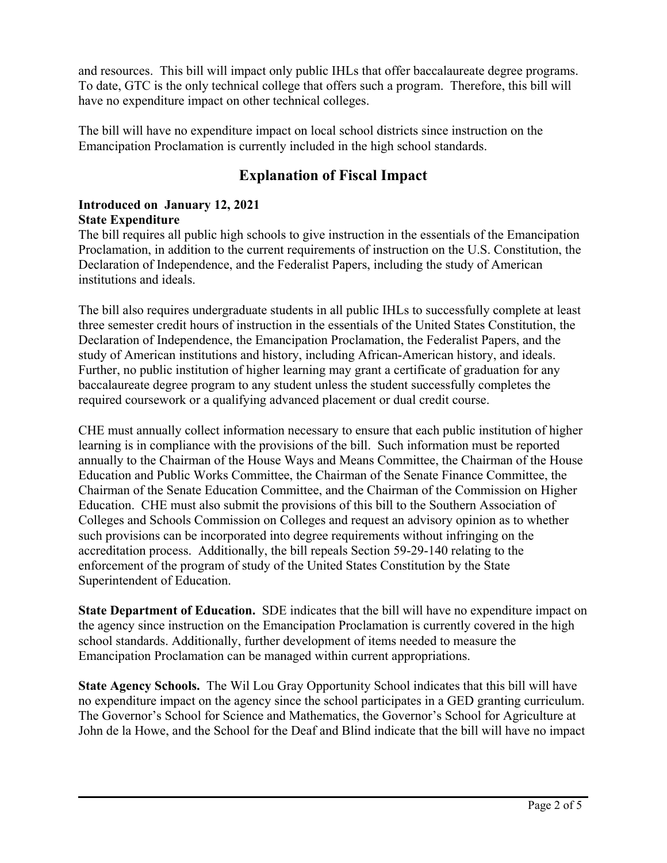and resources. This bill will impact only public IHLs that offer baccalaureate degree programs. To date, GTC is the only technical college that offers such a program. Therefore, this bill will have no expenditure impact on other technical colleges.

The bill will have no expenditure impact on local school districts since instruction on the Emancipation Proclamation is currently included in the high school standards.

## **Explanation of Fiscal Impact**

### **Introduced on January 12, 2021 State Expenditure**

The bill requires all public high schools to give instruction in the essentials of the Emancipation Proclamation, in addition to the current requirements of instruction on the U.S. Constitution, the Declaration of Independence, and the Federalist Papers, including the study of American institutions and ideals.

The bill also requires undergraduate students in all public IHLs to successfully complete at least three semester credit hours of instruction in the essentials of the United States Constitution, the Declaration of Independence, the Emancipation Proclamation, the Federalist Papers, and the study of American institutions and history, including African-American history, and ideals. Further, no public institution of higher learning may grant a certificate of graduation for any baccalaureate degree program to any student unless the student successfully completes the required coursework or a qualifying advanced placement or dual credit course.

CHE must annually collect information necessary to ensure that each public institution of higher learning is in compliance with the provisions of the bill. Such information must be reported annually to the Chairman of the House Ways and Means Committee, the Chairman of the House Education and Public Works Committee, the Chairman of the Senate Finance Committee, the Chairman of the Senate Education Committee, and the Chairman of the Commission on Higher Education. CHE must also submit the provisions of this bill to the Southern Association of Colleges and Schools Commission on Colleges and request an advisory opinion as to whether such provisions can be incorporated into degree requirements without infringing on the accreditation process. Additionally, the bill repeals Section 59-29-140 relating to the enforcement of the program of study of the United States Constitution by the State Superintendent of Education.

**State Department of Education.** SDE indicates that the bill will have no expenditure impact on the agency since instruction on the Emancipation Proclamation is currently covered in the high school standards. Additionally, further development of items needed to measure the Emancipation Proclamation can be managed within current appropriations.

**State Agency Schools.** The Wil Lou Gray Opportunity School indicates that this bill will have no expenditure impact on the agency since the school participates in a GED granting curriculum. The Governor's School for Science and Mathematics, the Governor's School for Agriculture at John de la Howe, and the School for the Deaf and Blind indicate that the bill will have no impact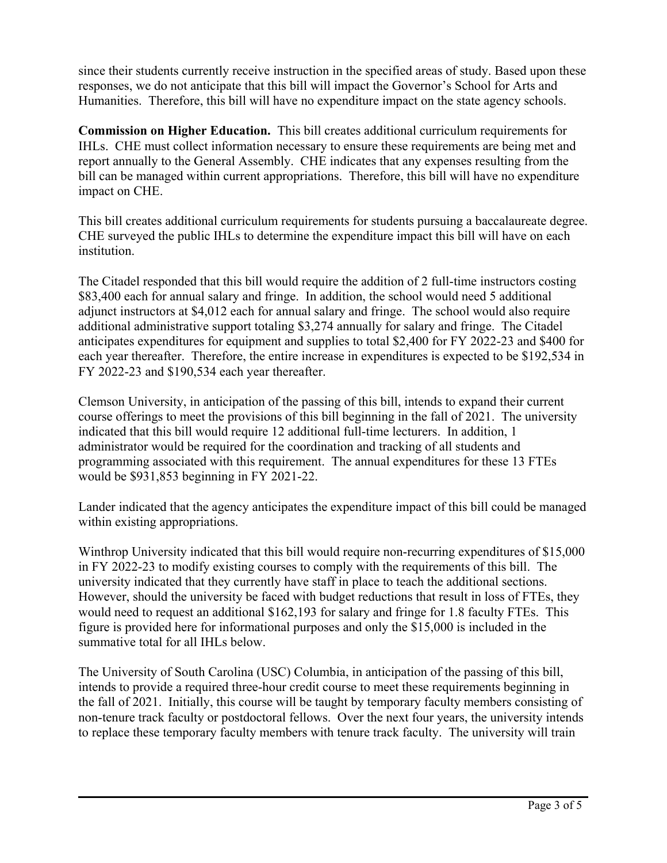since their students currently receive instruction in the specified areas of study. Based upon these responses, we do not anticipate that this bill will impact the Governor's School for Arts and Humanities. Therefore, this bill will have no expenditure impact on the state agency schools.

**Commission on Higher Education.** This bill creates additional curriculum requirements for IHLs. CHE must collect information necessary to ensure these requirements are being met and report annually to the General Assembly. CHE indicates that any expenses resulting from the bill can be managed within current appropriations. Therefore, this bill will have no expenditure impact on CHE.

This bill creates additional curriculum requirements for students pursuing a baccalaureate degree. CHE surveyed the public IHLs to determine the expenditure impact this bill will have on each institution.

The Citadel responded that this bill would require the addition of 2 full-time instructors costing \$83,400 each for annual salary and fringe. In addition, the school would need 5 additional adjunct instructors at \$4,012 each for annual salary and fringe. The school would also require additional administrative support totaling \$3,274 annually for salary and fringe. The Citadel anticipates expenditures for equipment and supplies to total \$2,400 for FY 2022-23 and \$400 for each year thereafter. Therefore, the entire increase in expenditures is expected to be \$192,534 in FY 2022-23 and \$190,534 each year thereafter.

Clemson University, in anticipation of the passing of this bill, intends to expand their current course offerings to meet the provisions of this bill beginning in the fall of 2021. The university indicated that this bill would require 12 additional full-time lecturers. In addition, 1 administrator would be required for the coordination and tracking of all students and programming associated with this requirement. The annual expenditures for these 13 FTEs would be \$931,853 beginning in FY 2021-22.

Lander indicated that the agency anticipates the expenditure impact of this bill could be managed within existing appropriations.

Winthrop University indicated that this bill would require non-recurring expenditures of \$15,000 in FY 2022-23 to modify existing courses to comply with the requirements of this bill. The university indicated that they currently have staff in place to teach the additional sections. However, should the university be faced with budget reductions that result in loss of FTEs, they would need to request an additional \$162,193 for salary and fringe for 1.8 faculty FTEs. This figure is provided here for informational purposes and only the \$15,000 is included in the summative total for all IHLs below.

The University of South Carolina (USC) Columbia, in anticipation of the passing of this bill, intends to provide a required three-hour credit course to meet these requirements beginning in the fall of 2021. Initially, this course will be taught by temporary faculty members consisting of non-tenure track faculty or postdoctoral fellows. Over the next four years, the university intends to replace these temporary faculty members with tenure track faculty. The university will train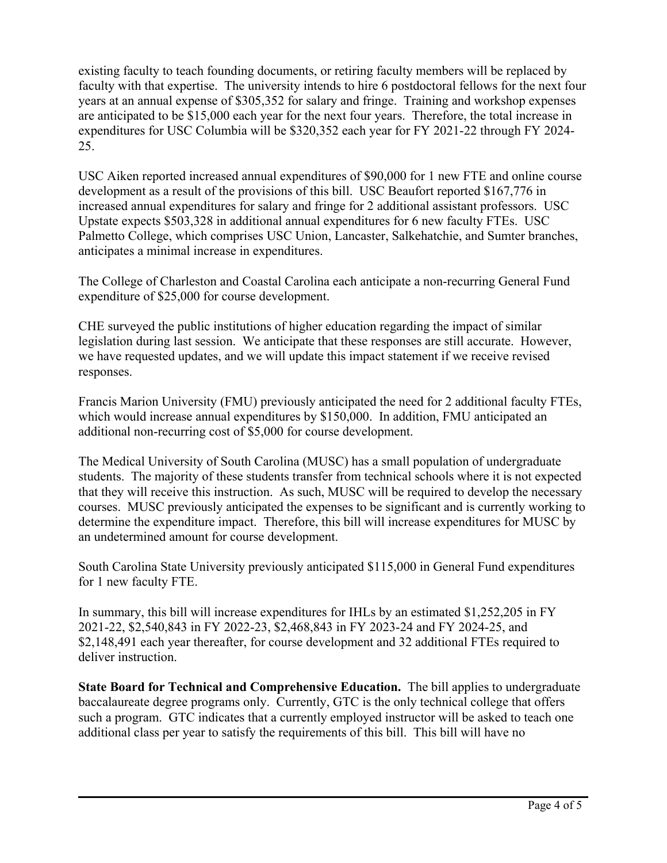existing faculty to teach founding documents, or retiring faculty members will be replaced by faculty with that expertise. The university intends to hire 6 postdoctoral fellows for the next four years at an annual expense of \$305,352 for salary and fringe. Training and workshop expenses are anticipated to be \$15,000 each year for the next four years. Therefore, the total increase in expenditures for USC Columbia will be \$320,352 each year for FY 2021-22 through FY 2024- 25.

USC Aiken reported increased annual expenditures of \$90,000 for 1 new FTE and online course development as a result of the provisions of this bill. USC Beaufort reported \$167,776 in increased annual expenditures for salary and fringe for 2 additional assistant professors. USC Upstate expects \$503,328 in additional annual expenditures for 6 new faculty FTEs. USC Palmetto College, which comprises USC Union, Lancaster, Salkehatchie, and Sumter branches, anticipates a minimal increase in expenditures.

The College of Charleston and Coastal Carolina each anticipate a non-recurring General Fund expenditure of \$25,000 for course development.

CHE surveyed the public institutions of higher education regarding the impact of similar legislation during last session. We anticipate that these responses are still accurate. However, we have requested updates, and we will update this impact statement if we receive revised responses.

Francis Marion University (FMU) previously anticipated the need for 2 additional faculty FTEs, which would increase annual expenditures by \$150,000. In addition, FMU anticipated an additional non-recurring cost of \$5,000 for course development.

The Medical University of South Carolina (MUSC) has a small population of undergraduate students. The majority of these students transfer from technical schools where it is not expected that they will receive this instruction. As such, MUSC will be required to develop the necessary courses. MUSC previously anticipated the expenses to be significant and is currently working to determine the expenditure impact. Therefore, this bill will increase expenditures for MUSC by an undetermined amount for course development.

South Carolina State University previously anticipated \$115,000 in General Fund expenditures for 1 new faculty FTE.

In summary, this bill will increase expenditures for IHLs by an estimated \$1,252,205 in FY 2021-22, \$2,540,843 in FY 2022-23, \$2,468,843 in FY 2023-24 and FY 2024-25, and \$2,148,491 each year thereafter, for course development and 32 additional FTEs required to deliver instruction.

**State Board for Technical and Comprehensive Education.** The bill applies to undergraduate baccalaureate degree programs only. Currently, GTC is the only technical college that offers such a program. GTC indicates that a currently employed instructor will be asked to teach one additional class per year to satisfy the requirements of this bill. This bill will have no